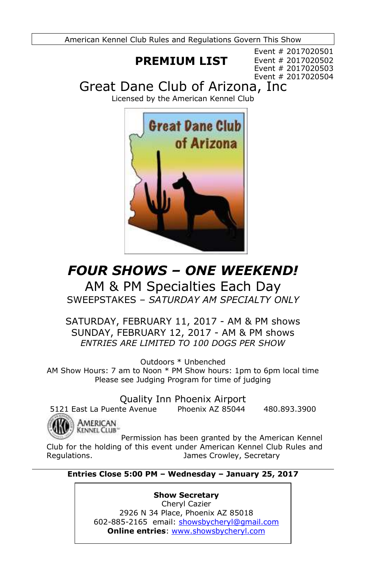American Kennel Club Rules and Regulations Govern This Show

# **PREMIUM LIST**

Event # 2017020501 Event # 2017020502 Event # 2017020503 Event # 2017020504

Great Dane Club of Arizona, Inc

Licensed by the American Kennel Club



# *FOUR SHOWS – ONE WEEKEND!*

AM & PM Specialties Each Day SWEEPSTAKES – *SATURDAY AM SPECIALTY ONLY*

SATURDAY, FEBRUARY 11, 2017 - AM & PM shows SUNDAY, FEBRUARY 12, 2017 - AM & PM shows *ENTRIES ARE LIMITED TO 100 DOGS PER SHOW*

Outdoors \* Unbenched

AM Show Hours: 7 am to Noon \* PM Show hours: 1pm to 6pm local time Please see Judging Program for time of judging

Quality Inn Phoenix Airport

5121 East La Puente Avenue Phoenix AZ 85044 480.893.3900



AMERICAN **KENNEL CLUB** 

Permission has been granted by the American Kennel Club for the holding of this event under American Kennel Club Rules and Regulations. The Community Communist Crowley, Secretary

### **Entries Close 5:00 PM – Wednesday – January 25, 2017**

**Show Secretary** Cheryl Cazier 2926 N 34 Place, Phoenix AZ 85018 602-885-2165 email: [showsbycheryl@gmail.com](mailto:showsbycheryl@gmail.com) **Online entries**: [www.showsbycheryl.com](http://www.showsbycheryl.com/)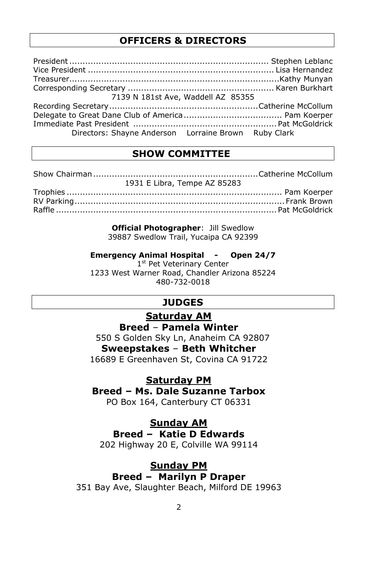### **OFFICERS & DIRECTORS**

| 7139 N 181st Ave, Waddell AZ 85355                   |  |  |  |
|------------------------------------------------------|--|--|--|
|                                                      |  |  |  |
|                                                      |  |  |  |
|                                                      |  |  |  |
| Directors: Shayne Anderson Lorraine Brown Ruby Clark |  |  |  |

## **SHOW COMMITTEE**

| 1931 E Libra, Tempe AZ 85283 |  |
|------------------------------|--|
|                              |  |

RV Parking...............................................................................Frank Brown Raffle ...................................................................................Pat McGoldrick

> **Official Photographer**: Jill Swedlow 39887 Swedlow Trail, Yucaipa CA 92399

**Emergency Animal Hospital - Open 24/7**

1st Pet Veterinary Center 1233 West Warner Road, Chandler Arizona 85224 480-732-0018

## **JUDGES**

### **Saturday AM**

### **Breed** – **Pamela Winter**

 550 S Golden Sky Ln, Anaheim CA 92807 **Sweepstakes** – **Beth Whitcher** 16689 E Greenhaven St, Covina CA 91722

**Saturday PM**

**Breed – Ms. Dale Suzanne Tarbox**

PO Box 164, Canterbury CT 06331

### **Sunday AM**

**Breed – Katie D Edwards**

202 Highway 20 E, Colville WA 99114

### **Sunday PM**

### **Breed – Marilyn P Draper**

351 Bay Ave, Slaughter Beach, Milford DE 19963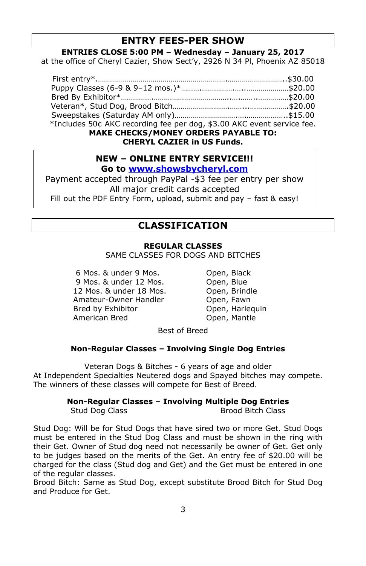## **ENTRY FEES-PER SHOW**

#### **ENTRIES CLOSE 5:00 PM – Wednesday – January 25, 2017**

at the office of Cheryl Cazier, Show Sect'y, 2926 N 34 Pl, Phoenix AZ 85018

| *Includes 50¢ AKC recording fee per dog, \$3.00 AKC event service fee. |  |  |
|------------------------------------------------------------------------|--|--|
| <b>MAKE CHECKS/MONEY ORDERS PAYABLE TO:</b>                            |  |  |

**CHERYL CAZIER in US Funds.**

### **NEW – ONLINE ENTRY SERVICE!!! Go to [www.showsbycheryl.com](http://www.showsbycheryl.com/)**

Payment accepted through PayPal -\$3 fee per entry per show All major credit cards accepted Fill out the PDF Entry Form, upload, submit and pay – fast & easy!

## **CLASSIFICATION**

### **REGULAR CLASSES**

SAME CLASSES FOR DOGS AND BITCHES

6 Mos. & under 9 Mos. Open, Black 9 Mos. & under 12 Mos. **Open**, Blue 12 Mos. & under 18 Mos. Open, Brindle Amateur-Owner Handler **Chandel Coment Coment** Bread by Exhibitor on the Open, Harley American Bred Open, Mantle

Open, Harlequin

Best of Breed

#### **Non-Regular Classes – Involving Single Dog Entries**

Veteran Dogs & Bitches - 6 years of age and older At Independent Specialties Neutered dogs and Spayed bitches may compete. The winners of these classes will compete for Best of Breed.

**Non-Regular Classes – Involving Multiple Dog Entries**

Stud Dog Class Brood Bitch Class

Stud Dog: Will be for Stud Dogs that have sired two or more Get. Stud Dogs must be entered in the Stud Dog Class and must be shown in the ring with their Get. Owner of Stud dog need not necessarily be owner of Get. Get only to be judges based on the merits of the Get. An entry fee of \$20.00 will be charged for the class (Stud dog and Get) and the Get must be entered in one of the regular classes.

Brood Bitch: Same as Stud Dog, except substitute Brood Bitch for Stud Dog and Produce for Get.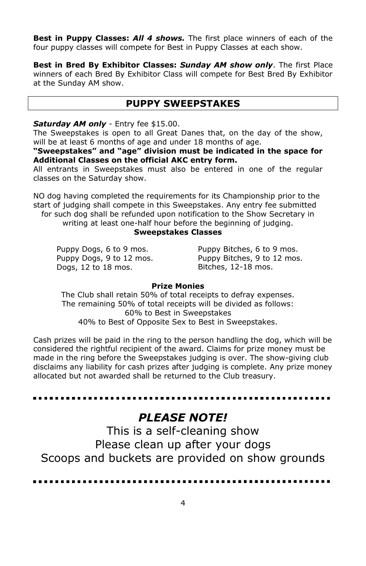**Best in Puppy Classes:** *All 4 shows.* The first place winners of each of the four puppy classes will compete for Best in Puppy Classes at each show.

**Best in Bred By Exhibitor Classes:** *Sunday AM show only*. The first Place winners of each Bred By Exhibitor Class will compete for Best Bred By Exhibitor at the Sunday AM show.

### **PUPPY SWEEPSTAKES**

#### *Saturday AM only* - Entry fee \$15.00.

The Sweepstakes is open to all Great Danes that, on the day of the show, will be at least 6 months of age and under 18 months of age.

**"Sweepstakes" and "age" division must be indicated in the space for Additional Classes on the official AKC entry form.**

All entrants in Sweepstakes must also be entered in one of the regular classes on the Saturday show.

NO dog having completed the requirements for its Championship prior to the start of judging shall compete in this Sweepstakes. Any entry fee submitted for such dog shall be refunded upon notification to the Show Secretary in

writing at least one-half hour before the beginning of judging.

#### **Sweepstakes Classes**

Puppy Dogs, 6 to 9 mos. Puppy Dogs, 9 to 12 mos. Dogs, 12 to 18 mos.

Puppy Bitches, 6 to 9 mos. Puppy Bitches, 9 to 12 mos. Bitches, 12-18 mos.

#### **Prize Monies**

The Club shall retain 50% of total receipts to defray expenses. The remaining 50% of total receipts will be divided as follows: 60% to Best in Sweepstakes 40% to Best of Opposite Sex to Best in Sweepstakes.

Cash prizes will be paid in the ring to the person handling the dog, which will be considered the rightful recipient of the award. Claims for prize money must be made in the ring before the Sweepstakes judging is over. The show-giving club disclaims any liability for cash prizes after judging is complete. Any prize money allocated but not awarded shall be returned to the Club treasury.

# *PLEASE NOTE!*

This is a self-cleaning show Please clean up after your dogs Scoops and buckets are provided on show grounds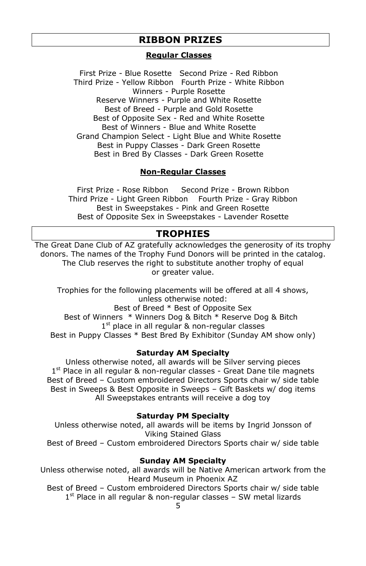### **RIBBON PRIZES**

#### **Regular Classes**

First Prize - Blue Rosette Second Prize - Red Ribbon Third Prize - Yellow Ribbon Fourth Prize - White Ribbon Winners - Purple Rosette Reserve Winners - Purple and White Rosette Best of Breed - Purple and Gold Rosette Best of Opposite Sex - Red and White Rosette Best of Winners - Blue and White Rosette Grand Champion Select - Light Blue and White Rosette Best in Puppy Classes - Dark Green Rosette Best in Bred By Classes - Dark Green Rosette

#### **Non-Regular Classes**

First Prize - Rose Ribbon Second Prize - Brown Ribbon Third Prize - Light Green Ribbon Fourth Prize - Gray Ribbon Best in Sweepstakes - Pink and Green Rosette Best of Opposite Sex in Sweepstakes - Lavender Rosette

#### **TROPHIES**

The Great Dane Club of AZ gratefully acknowledges the generosity of its trophy donors. The names of the Trophy Fund Donors will be printed in the catalog. The Club reserves the right to substitute another trophy of equal or greater value.

Trophies for the following placements will be offered at all 4 shows, unless otherwise noted: Best of Breed \* Best of Opposite Sex Best of Winners \* Winners Dog & Bitch \* Reserve Dog & Bitch 1<sup>st</sup> place in all regular & non-regular classes Best in Puppy Classes \* Best Bred By Exhibitor (Sunday AM show only)

#### **Saturday AM Specialty**

Unless otherwise noted, all awards will be Silver serving pieces 1<sup>st</sup> Place in all regular & non-regular classes - Great Dane tile magnets Best of Breed – Custom embroidered Directors Sports chair w/ side table Best in Sweeps & Best Opposite in Sweeps – Gift Baskets w/ dog items All Sweepstakes entrants will receive a dog toy

#### **Saturday PM Specialty**

Unless otherwise noted, all awards will be items by Ingrid Jonsson of Viking Stained Glass Best of Breed – Custom embroidered Directors Sports chair w/ side table

#### **Sunday AM Specialty**

Unless otherwise noted, all awards will be Native American artwork from the Heard Museum in Phoenix AZ

Best of Breed – Custom embroidered Directors Sports chair w/ side table 1<sup>st</sup> Place in all regular & non-regular classes - SW metal lizards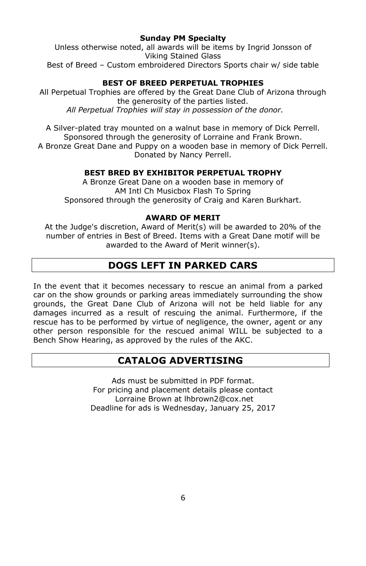#### **Sunday PM Specialty**

Unless otherwise noted, all awards will be items by Ingrid Jonsson of Viking Stained Glass Best of Breed – Custom embroidered Directors Sports chair w/ side table

### **BEST OF BREED PERPETUAL TROPHIES**

All Perpetual Trophies are offered by the Great Dane Club of Arizona through the generosity of the parties listed. *All Perpetual Trophies will stay in possession of the donor.*

A Silver-plated tray mounted on a walnut base in memory of Dick Perrell. Sponsored through the generosity of Lorraine and Frank Brown. A Bronze Great Dane and Puppy on a wooden base in memory of Dick Perrell. Donated by Nancy Perrell.

#### **BEST BRED BY EXHIBITOR PERPETUAL TROPHY**

A Bronze Great Dane on a wooden base in memory of AM Intl Ch Musicbox Flash To Spring Sponsored through the generosity of Craig and Karen Burkhart.

#### **AWARD OF MERIT**

At the Judge's discretion, Award of Merit(s) will be awarded to 20% of the number of entries in Best of Breed. Items with a Great Dane motif will be awarded to the Award of Merit winner(s).

# **DOGS LEFT IN PARKED CARS**

In the event that it becomes necessary to rescue an animal from a parked car on the show grounds or parking areas immediately surrounding the show grounds, the Great Dane Club of Arizona will not be held liable for any damages incurred as a result of rescuing the animal. Furthermore, if the rescue has to be performed by virtue of negligence, the owner, agent or any other person responsible for the rescued animal WILL be subjected to a Bench Show Hearing, as approved by the rules of the AKC.

## **CATALOG ADVERTISING**

Ads must be submitted in PDF format. For pricing and placement details please contact Lorraine Brown at lhbrown2@cox.net Deadline for ads is Wednesday, January 25, 2017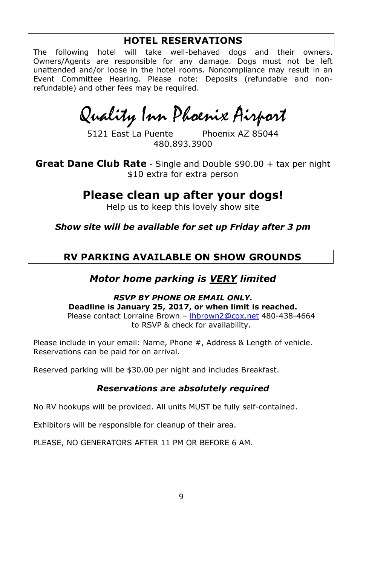## **HOTEL RESERVATIONS**

The following hotel will take well-behaved dogs and their owners. Owners/Agents are responsible for any damage. Dogs must not be left unattended and/or loose in the hotel rooms. Noncompliance may result in an Event Committee Hearing. Please note: Deposits (refundable and nonrefundable) and other fees may be required.

Quality Inn Phoenix Airport

5121 East La Puente Phoenix AZ 85044 480.893.3900

**Great Dane Club Rate** - Single and Double \$90.00 + tax per night \$10 extra for extra person

**Please clean up after your dogs!**

Help us to keep this lovely show site

*Show site will be available for set up Friday after 3 pm*

## **RV PARKING AVAILABLE ON SHOW GROUNDS**

## *Motor home parking is VERY limited*

*RSVP BY PHONE OR EMAIL ONLY.* **Deadline is January 25, 2017, or when limit is reached.** Please contact Lorraine Brown – [lhbrown2@cox.net](mailto:lhbrown2@cox.net) 480-438-4664 to RSVP & check for availability.

Please include in your email: Name, Phone #, Address & Length of vehicle. Reservations can be paid for on arrival.

Reserved parking will be \$30.00 per night and includes Breakfast.

### *Reservations are absolutely required*

No RV hookups will be provided. All units MUST be fully self-contained.

Exhibitors will be responsible for cleanup of their area.

PLEASE, NO GENERATORS AFTER 11 PM OR BEFORE 6 AM.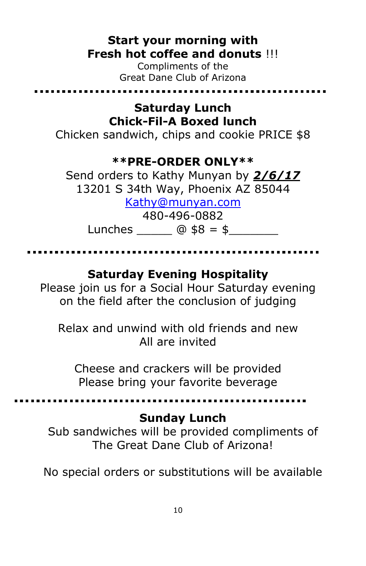# **Start your morning with Fresh hot coffee and donuts** !!!

Compliments of the Great Dane Club of Arizona

# **Saturday Lunch Chick-Fil-A Boxed lunch**

Chicken sandwich, chips and cookie PRICE \$8

# **\*\*PRE-ORDER ONLY\*\***

Send orders to Kathy Munyan by *2/6/17*  13201 S 34th Way, Phoenix AZ 85044

[Kathy@munyan.com](mailto:Kathy@munyan.com)

480-496-0882

Lunches  $@$   $$8 = $$ 

# **Saturday Evening Hospitality**

Please join us for a Social Hour Saturday evening on the field after the conclusion of judging

Relax and unwind with old friends and new All are invited

Cheese and crackers will be provided Please bring your favorite beverage

# **Sunday Lunch**

Sub sandwiches will be provided compliments of The Great Dane Club of Arizona!

No special orders or substitutions will be available